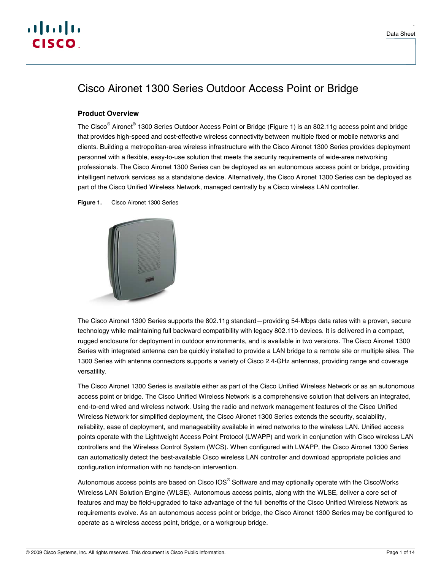

.

# Cisco Aironet 1300 Series Outdoor Access Point or Bridge

## **Product Overview**

The Cisco<sup>®</sup> Aironet<sup>®</sup> 1300 Series Outdoor Access Point or Bridge (Figure 1) is an 802.11g access point and bridge that provides high-speed and cost-effective wireless connectivity between multiple fixed or mobile networks and clients. Building a metropolitan-area wireless infrastructure with the Cisco Aironet 1300 Series provides deployment personnel with a flexible, easy-to-use solution that meets the security requirements of wide-area networking professionals. The Cisco Aironet 1300 Series can be deployed as an autonomous access point or bridge, providing intelligent network services as a standalone device. Alternatively, the Cisco Aironet 1300 Series can be deployed as part of the Cisco Unified Wireless Network, managed centrally by a Cisco wireless LAN controller.

**Figure 1.** Cisco Aironet 1300 Series



The Cisco Aironet 1300 Series supports the 802.11g standard—providing 54-Mbps data rates with a proven, secure technology while maintaining full backward compatibility with legacy 802.11b devices. It is delivered in a compact, rugged enclosure for deployment in outdoor environments, and is available in two versions. The Cisco Aironet 1300 Series with integrated antenna can be quickly installed to provide a LAN bridge to a remote site or multiple sites. The 1300 Series with antenna connectors supports a variety of Cisco 2.4-GHz antennas, providing range and coverage versatility.

The Cisco Aironet 1300 Series is available either as part of the Cisco Unified Wireless Network or as an autonomous access point or bridge. The Cisco Unified Wireless Network is a comprehensive solution that delivers an integrated, end-to-end wired and wireless network. Using the radio and network management features of the Cisco Unified Wireless Network for simplified deployment, the Cisco Aironet 1300 Series extends the security, scalability, reliability, ease of deployment, and manageability available in wired networks to the wireless LAN. Unified access points operate with the Lightweight Access Point Protocol (LWAPP) and work in conjunction with Cisco wireless LAN controllers and the Wireless Control System (WCS). When configured with LWAPP, the Cisco Aironet 1300 Series can automatically detect the best-available Cisco wireless LAN controller and download appropriate policies and configuration information with no hands-on intervention.

Autonomous access points are based on Cisco IOS $^{\circ}$  Software and may optionally operate with the CiscoWorks Wireless LAN Solution Engine (WLSE). Autonomous access points, along with the WLSE, deliver a core set of features and may be field-upgraded to take advantage of the full benefits of the Cisco Unified Wireless Network as requirements evolve. As an autonomous access point or bridge, the Cisco Aironet 1300 Series may be configured to operate as a wireless access point, bridge, or a workgroup bridge.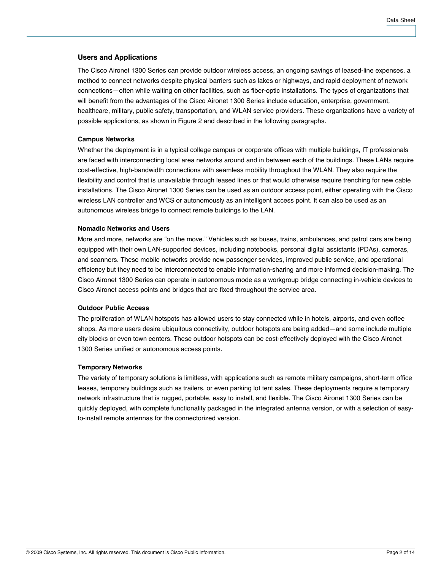## **Users and Applications**

The Cisco Aironet 1300 Series can provide outdoor wireless access, an ongoing savings of leased-line expenses, a method to connect networks despite physical barriers such as lakes or highways, and rapid deployment of network connections—often while waiting on other facilities, such as fiber-optic installations. The types of organizations that will benefit from the advantages of the Cisco Aironet 1300 Series include education, enterprise, government, healthcare, military, public safety, transportation, and WLAN service providers. These organizations have a variety of possible applications, as shown in Figure 2 and described in the following paragraphs.

#### **Campus Networks**

Whether the deployment is in a typical college campus or corporate offices with multiple buildings, IT professionals are faced with interconnecting local area networks around and in between each of the buildings. These LANs require cost-effective, high-bandwidth connections with seamless mobility throughout the WLAN. They also require the flexibility and control that is unavailable through leased lines or that would otherwise require trenching for new cable installations. The Cisco Aironet 1300 Series can be used as an outdoor access point, either operating with the Cisco wireless LAN controller and WCS or autonomously as an intelligent access point. It can also be used as an autonomous wireless bridge to connect remote buildings to the LAN.

#### **Nomadic Networks and Users**

More and more, networks are "on the move." Vehicles such as buses, trains, ambulances, and patrol cars are being equipped with their own LAN-supported devices, including notebooks, personal digital assistants (PDAs), cameras, and scanners. These mobile networks provide new passenger services, improved public service, and operational efficiency but they need to be interconnected to enable information-sharing and more informed decision-making. The Cisco Aironet 1300 Series can operate in autonomous mode as a workgroup bridge connecting in-vehicle devices to Cisco Aironet access points and bridges that are fixed throughout the service area.

## **Outdoor Public Access**

The proliferation of WLAN hotspots has allowed users to stay connected while in hotels, airports, and even coffee shops. As more users desire ubiquitous connectivity, outdoor hotspots are being added—and some include multiple city blocks or even town centers. These outdoor hotspots can be cost-effectively deployed with the Cisco Aironet 1300 Series unified or autonomous access points.

#### **Temporary Networks**

The variety of temporary solutions is limitless, with applications such as remote military campaigns, short-term office leases, temporary buildings such as trailers, or even parking lot tent sales. These deployments require a temporary network infrastructure that is rugged, portable, easy to install, and flexible. The Cisco Aironet 1300 Series can be quickly deployed, with complete functionality packaged in the integrated antenna version, or with a selection of easyto-install remote antennas for the connectorized version.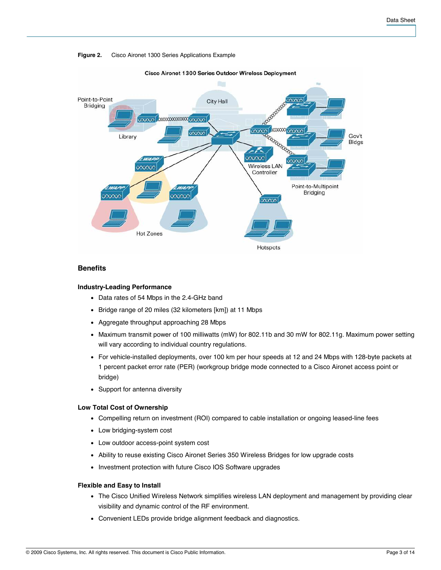#### **Figure 2.** Cisco Aironet 1300 Series Applications Example



## Cisco Aironet 1300 Series Outdoor Wireless Deployment

#### **Benefits**

#### **Industry-Leading Performance**

- Data rates of 54 Mbps in the 2.4-GHz band
- Bridge range of 20 miles (32 kilometers [km]) at 11 Mbps
- Aggregate throughput approaching 28 Mbps
- Maximum transmit power of 100 milliwatts (mW) for 802.11b and 30 mW for 802.11g. Maximum power setting will vary according to individual country regulations.
- For vehicle-installed deployments, over 100 km per hour speeds at 12 and 24 Mbps with 128-byte packets at 1 percent packet error rate (PER) (workgroup bridge mode connected to a Cisco Aironet access point or bridge)
- Support for antenna diversity

#### **Low Total Cost of Ownership**

- Compelling return on investment (ROI) compared to cable installation or ongoing leased-line fees
- Low bridging-system cost
- Low outdoor access-point system cost
- Ability to reuse existing Cisco Aironet Series 350 Wireless Bridges for low upgrade costs
- Investment protection with future Cisco IOS Software upgrades

#### **Flexible and Easy to Install**

- The Cisco Unified Wireless Network simplifies wireless LAN deployment and management by providing clear visibility and dynamic control of the RF environment.
- Convenient LEDs provide bridge alignment feedback and diagnostics.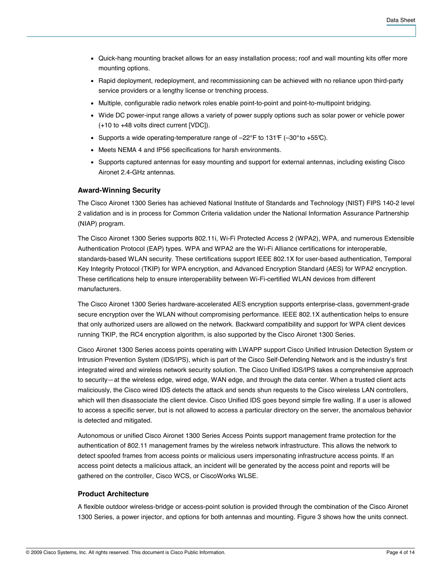- Quick-hang mounting bracket allows for an easy installation process; roof and wall mounting kits offer more mounting options.
- Rapid deployment, redeployment, and recommissioning can be achieved with no reliance upon third-party service providers or a lengthy license or trenching process.
- Multiple, configurable radio network roles enable point-to-point and point-to-multipoint bridging.
- Wide DC power-input range allows a variety of power supply options such as solar power or vehicle power (+10 to +48 volts direct current [VDC]).
- Supports a wide operating-temperature range of  $-22^{\circ}$ F to 131 $\rm{F}$  (-30 $\rm{^{\circ}$ to +55 $\rm{C}$ ).
- Meets NEMA 4 and IP56 specifications for harsh environments.
- Supports captured antennas for easy mounting and support for external antennas, including existing Cisco Aironet 2.4-GHz antennas.

## **Award-Winning Security**

The Cisco Aironet 1300 Series has achieved National Institute of Standards and Technology (NIST) FIPS 140-2 level 2 validation and is in process for Common Criteria validation under the National Information Assurance Partnership (NIAP) program.

The Cisco Aironet 1300 Series supports 802.11i, Wi-Fi Protected Access 2 (WPA2), WPA, and numerous Extensible Authentication Protocol (EAP) types. WPA and WPA2 are the Wi-Fi Alliance certifications for interoperable, standards-based WLAN security. These certifications support IEEE 802.1X for user-based authentication, Temporal Key Integrity Protocol (TKIP) for WPA encryption, and Advanced Encryption Standard (AES) for WPA2 encryption. These certifications help to ensure interoperability between Wi-Fi-certified WLAN devices from different manufacturers.

The Cisco Aironet 1300 Series hardware-accelerated AES encryption supports enterprise-class, government-grade secure encryption over the WLAN without compromising performance. IEEE 802.1X authentication helps to ensure that only authorized users are allowed on the network. Backward compatibility and support for WPA client devices running TKIP, the RC4 encryption algorithm, is also supported by the Cisco Aironet 1300 Series.

Cisco Aironet 1300 Series access points operating with LWAPP support Cisco Unified Intrusion Detection System or Intrusion Prevention System (IDS/IPS), which is part of the Cisco Self-Defending Network and is the industry's first integrated wired and wireless network security solution. The Cisco Unified IDS/IPS takes a comprehensive approach to security—at the wireless edge, wired edge, WAN edge, and through the data center. When a trusted client acts maliciously, the Cisco wired IDS detects the attack and sends shun requests to the Cisco wireless LAN controllers, which will then disassociate the client device. Cisco Unified IDS goes beyond simple fire walling. If a user is allowed to access a specific server, but is not allowed to access a particular directory on the server, the anomalous behavior is detected and mitigated.

Autonomous or unified Cisco Aironet 1300 Series Access Points support management frame protection for the authentication of 802.11 management frames by the wireless network infrastructure. This allows the network to detect spoofed frames from access points or malicious users impersonating infrastructure access points. If an access point detects a malicious attack, an incident will be generated by the access point and reports will be gathered on the controller, Cisco WCS, or CiscoWorks WLSE.

#### **Product Architecture**

A flexible outdoor wireless-bridge or access-point solution is provided through the combination of the Cisco Aironet 1300 Series, a power injector, and options for both antennas and mounting. Figure 3 shows how the units connect.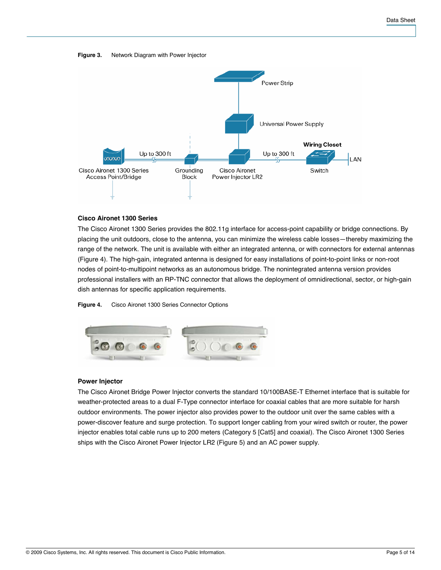#### **Figure 3.** Network Diagram with Power Injector



## **Cisco Aironet 1300 Series**

The Cisco Aironet 1300 Series provides the 802.11g interface for access-point capability or bridge connections. By placing the unit outdoors, close to the antenna, you can minimize the wireless cable losses—thereby maximizing the range of the network. The unit is available with either an integrated antenna, or with connectors for external antennas (Figure 4). The high-gain, integrated antenna is designed for easy installations of point-to-point links or non-root nodes of point-to-multipoint networks as an autonomous bridge. The nonintegrated antenna version provides professional installers with an RP-TNC connector that allows the deployment of omnidirectional, sector, or high-gain dish antennas for specific application requirements.

**Figure 4.** Cisco Aironet 1300 Series Connector Options



#### **Power Injector**

The Cisco Aironet Bridge Power Injector converts the standard 10/100BASE-T Ethernet interface that is suitable for weather-protected areas to a dual F-Type connector interface for coaxial cables that are more suitable for harsh outdoor environments. The power injector also provides power to the outdoor unit over the same cables with a power-discover feature and surge protection. To support longer cabling from your wired switch or router, the power injector enables total cable runs up to 200 meters (Category 5 [Cat5] and coaxial). The Cisco Aironet 1300 Series ships with the Cisco Aironet Power Injector LR2 (Figure 5) and an AC power supply.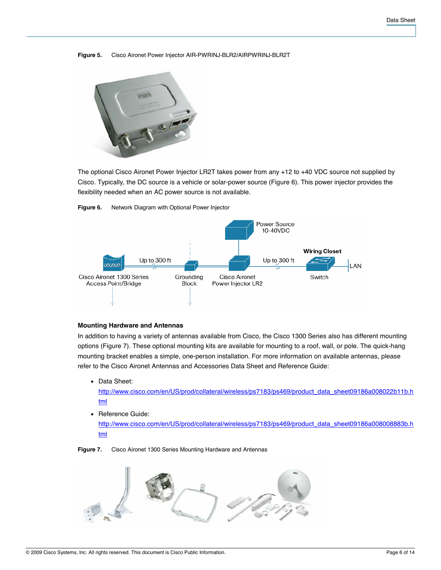#### **Figure 5.** Cisco Aironet Power Injector AIR-PWRINJ-BLR2/AIRPWRINJ-BLR2T



The optional Cisco Aironet Power Injector LR2T takes power from any +12 to +40 VDC source not supplied by Cisco. Typically, the DC source is a vehicle or solar-power source (Figure 6). This power injector provides the flexibility needed when an AC power source is not available.



**Figure 6.** Network Diagram with Optional Power Injector

## **Mounting Hardware and Antennas**

In addition to having a variety of antennas available from Cisco, the Cisco 1300 Series also has different mounting options (Figure 7). These optional mounting kits are available for mounting to a roof, wall, or pole. The quick-hang mounting bracket enables a simple, one-person installation. For more information on available antennas, please refer to the Cisco Aironet Antennas and Accessories Data Sheet and Reference Guide:

• Data Sheet:

[http://www.cisco.com/en/US/prod/collateral/wireless/ps7183/ps469/product\\_data\\_sheet09186a008022b11b.](http://www.cisco.com/en/US/prod/collateral/wireless/ps7183/ps469/product_data_sheet09186a008022b11b.html)h [tml](http://www.cisco.com/en/US/prod/collateral/wireless/ps7183/ps469/product_data_sheet09186a008022b11b.html)

• Reference Guide: [http://www.cisco.com/en/US/prod/collateral/wireless/ps7183/ps469/product\\_data\\_sheet09186a008008883b.](http://www.cisco.com/en/US/prod/collateral/wireless/ps7183/ps469/product_data_sheet09186a008008883b.html)h [tml](http://www.cisco.com/en/US/prod/collateral/wireless/ps7183/ps469/product_data_sheet09186a008008883b.html)

**Figure 7.** Cisco Aironet 1300 Series Mounting Hardware and Antennas

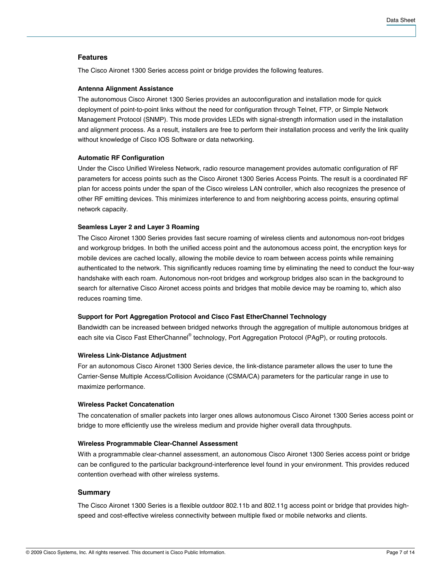## **Features**

The Cisco Aironet 1300 Series access point or bridge provides the following features.

#### **Antenna Alignment Assistance**

The autonomous Cisco Aironet 1300 Series provides an autoconfiguration and installation mode for quick deployment of point-to-point links without the need for configuration through Telnet, FTP, or Simple Network Management Protocol (SNMP). This mode provides LEDs with signal-strength information used in the installation and alignment process. As a result, installers are free to perform their installation process and verify the link quality without knowledge of Cisco IOS Software or data networking.

#### **Automatic RF Configuration**

Under the Cisco Unified Wireless Network, radio resource management provides automatic configuration of RF parameters for access points such as the Cisco Aironet 1300 Series Access Points. The result is a coordinated RF plan for access points under the span of the Cisco wireless LAN controller, which also recognizes the presence of other RF emitting devices. This minimizes interference to and from neighboring access points, ensuring optimal network capacity.

#### **Seamless Layer 2 and Layer 3 Roaming**

The Cisco Aironet 1300 Series provides fast secure roaming of wireless clients and autonomous non-root bridges and workgroup bridges. In both the unified access point and the autonomous access point, the encryption keys for mobile devices are cached locally, allowing the mobile device to roam between access points while remaining authenticated to the network. This significantly reduces roaming time by eliminating the need to conduct the four-way handshake with each roam. Autonomous non-root bridges and workgroup bridges also scan in the background to search for alternative Cisco Aironet access points and bridges that mobile device may be roaming to, which also reduces roaming time.

#### **Support for Port Aggregation Protocol and Cisco Fast EtherChannel Technology**

Bandwidth can be increased between bridged networks through the aggregation of multiple autonomous bridges at each site via Cisco Fast EtherChannel® technology, Port Aggregation Protocol (PAgP), or routing protocols.

#### **Wireless Link-Distance Adjustment**

For an autonomous Cisco Aironet 1300 Series device, the link-distance parameter allows the user to tune the Carrier-Sense Multiple Access/Collision Avoidance (CSMA/CA) parameters for the particular range in use to maximize performance.

#### **Wireless Packet Concatenation**

The concatenation of smaller packets into larger ones allows autonomous Cisco Aironet 1300 Series access point or bridge to more efficiently use the wireless medium and provide higher overall data throughputs.

#### **Wireless Programmable Clear-Channel Assessment**

With a programmable clear-channel assessment, an autonomous Cisco Aironet 1300 Series access point or bridge can be configured to the particular background-interference level found in your environment. This provides reduced contention overhead with other wireless systems.

#### **Summary**

The Cisco Aironet 1300 Series is a flexible outdoor 802.11b and 802.11g access point or bridge that provides highspeed and cost-effective wireless connectivity between multiple fixed or mobile networks and clients.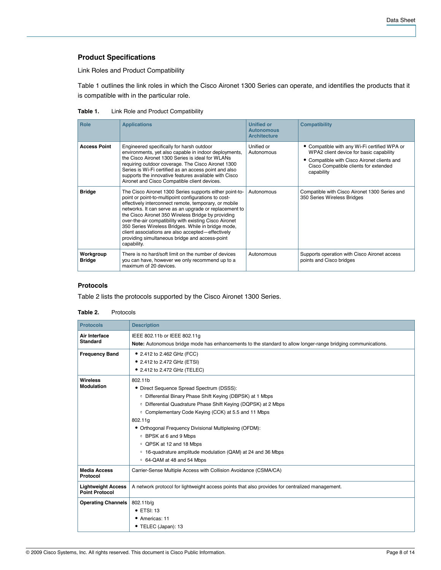## **Product Specifications**

Link Roles and Product Compatibility

Table 1 outlines the link roles in which the Cisco Aironet 1300 Series can operate, and identifies the products that it is compatible with in the particular role.

**Table 1.** Link Role and Product Compatibility

| <b>Role</b>                | <b>Applications</b>                                                                                                                                                                                                                                                                                                                                                                                                                                                                                                            | <b>Unified or</b><br><b>Autonomous</b><br><b>Architecture</b> | <b>Compatibility</b>                                                                                                                                                                          |
|----------------------------|--------------------------------------------------------------------------------------------------------------------------------------------------------------------------------------------------------------------------------------------------------------------------------------------------------------------------------------------------------------------------------------------------------------------------------------------------------------------------------------------------------------------------------|---------------------------------------------------------------|-----------------------------------------------------------------------------------------------------------------------------------------------------------------------------------------------|
| <b>Access Point</b>        | Engineered specifically for harsh outdoor<br>environments, yet also capable in indoor deployments,<br>the Cisco Aironet 1300 Series is ideal for WLANs<br>requiring outdoor coverage. The Cisco Aironet 1300<br>Series is Wi-Fi certified as an access point and also<br>supports the innovative features available with Cisco<br>Aironet and Cisco Compatible client devices.                                                                                                                                                 | Unified or<br>Autonomous                                      | • Compatible with any Wi-Fi certified WPA or<br>WPA2 client device for basic capability<br>• Compatible with Cisco Aironet clients and<br>Cisco Compatible clients for extended<br>capability |
| <b>Bridge</b>              | The Cisco Aironet 1300 Series supports either point-to-<br>point or point-to-multipoint configurations to cost-<br>effectively interconnect remote, temporary, or mobile<br>networks. It can serve as an upgrade or replacement to<br>the Cisco Aironet 350 Wireless Bridge by providing<br>over-the-air compatibility with existing Cisco Aironet<br>350 Series Wireless Bridges. While in bridge mode,<br>client associations are also accepted-effectively<br>providing simultaneous bridge and access-point<br>capability. | Autonomous                                                    | Compatible with Cisco Aironet 1300 Series and<br>350 Series Wireless Bridges                                                                                                                  |
| Workgroup<br><b>Bridge</b> | There is no hard/soft limit on the number of devices<br>you can have, however we only recommend up to a<br>maximum of 20 devices.                                                                                                                                                                                                                                                                                                                                                                                              | Autonomous                                                    | Supports operation with Cisco Aironet access<br>points and Cisco bridges                                                                                                                      |

## **Protocols**

Table 2 lists the protocols supported by the Cisco Aironet 1300 Series.

#### **Table 2.** Protocols

| <b>Protocols</b>                                   | <b>Description</b>                                                                                                                                                                                                                                                                                                                                                                                                                                                    |
|----------------------------------------------------|-----------------------------------------------------------------------------------------------------------------------------------------------------------------------------------------------------------------------------------------------------------------------------------------------------------------------------------------------------------------------------------------------------------------------------------------------------------------------|
| Air Interface<br><b>Standard</b>                   | IEEE 802.11b or IEEE 802.11g<br>Note: Autonomous bridge mode has enhancements to the standard to allow longer-range bridging communications.                                                                                                                                                                                                                                                                                                                          |
| <b>Frequency Band</b>                              | • 2.412 to 2.462 GHz (FCC)<br>• 2.412 to 2.472 GHz (ETSI)<br>• 2.412 to 2.472 GHz (TELEC)                                                                                                                                                                                                                                                                                                                                                                             |
| <b>Wireless</b><br><b>Modulation</b>               | 802.11b<br>• Direct Sequence Spread Spectrum (DSSS):<br>• Differential Binary Phase Shift Keying (DBPSK) at 1 Mbps<br>• Differential Quadrature Phase Shift Keying (DQPSK) at 2 Mbps<br>• Complementary Code Keying (CCK) at 5.5 and 11 Mbps<br>802.11g<br>• Orthogonal Frequency Divisional Multiplexing (OFDM):<br>○ BPSK at 6 and 9 Mbps<br>• QPSK at 12 and 18 Mbps<br>• 16-quadrature amplitude modulation (QAM) at 24 and 36 Mbps<br>○ 64-QAM at 48 and 54 Mbps |
| <b>Media Access</b><br>Protocol                    | Carrier-Sense Multiple Access with Collision Avoidance (CSMA/CA)                                                                                                                                                                                                                                                                                                                                                                                                      |
| <b>Lightweight Access</b><br><b>Point Protocol</b> | A network protocol for lightweight access points that also provides for centralized management.                                                                                                                                                                                                                                                                                                                                                                       |
| <b>Operating Channels</b>                          | 802.11b/g<br>$\bullet$ ETSI: 13<br>• Americas: 11<br>• TELEC (Japan): 13                                                                                                                                                                                                                                                                                                                                                                                              |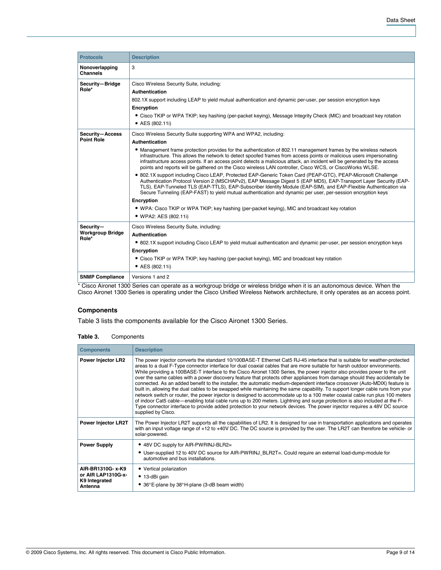| <b>Protocols</b>                                                                           | <b>Description</b>                                                                                                                                                                                                                                                                                                                                                                                                                                                                                                                                                                                                                                                                                                                                                                                                                                                                                                                                                                                                                                                                                                                                                                               |
|--------------------------------------------------------------------------------------------|--------------------------------------------------------------------------------------------------------------------------------------------------------------------------------------------------------------------------------------------------------------------------------------------------------------------------------------------------------------------------------------------------------------------------------------------------------------------------------------------------------------------------------------------------------------------------------------------------------------------------------------------------------------------------------------------------------------------------------------------------------------------------------------------------------------------------------------------------------------------------------------------------------------------------------------------------------------------------------------------------------------------------------------------------------------------------------------------------------------------------------------------------------------------------------------------------|
| Nonoverlapping<br><b>Channels</b>                                                          | 3                                                                                                                                                                                                                                                                                                                                                                                                                                                                                                                                                                                                                                                                                                                                                                                                                                                                                                                                                                                                                                                                                                                                                                                                |
| Security-Bridge<br>Role*                                                                   | Cisco Wireless Security Suite, including:<br>Authentication<br>802.1X support including LEAP to yield mutual authentication and dynamic per-user, per session encryption keys<br>Encryption<br>• Cisco TKIP or WPA TKIP; key hashing (per-packet keying), Message Integrity Check (MIC) and broadcast key rotation<br>• AES (802.11i)                                                                                                                                                                                                                                                                                                                                                                                                                                                                                                                                                                                                                                                                                                                                                                                                                                                            |
| Security-Access<br><b>Point Role</b>                                                       | Cisco Wireless Security Suite supporting WPA and WPA2, including:<br><b>Authentication</b><br>• Management frame protection provides for the authentication of 802.11 management frames by the wireless network<br>infrastructure. This allows the network to detect spoofed frames from access points or malicious users impersonating<br>infrastructure access points. If an access point detects a malicious attack, an incident will be generated by the access<br>points and reports will be gathered on the Cisco wireless LAN controller, Cisco WCS, or CiscoWorks WLSE.<br>• 802.1X support including Cisco LEAP, Protected EAP-Generic Token Card (PEAP-GTC), PEAP-Microsoft Challenge<br>Authentication Protocol Version 2 (MSCHAPv2), EAP Message Digest 5 (EAP MD5), EAP-Transport Layer Security (EAP-<br>TLS), EAP-Tunneled TLS (EAP-TTLS), EAP-Subscriber Identity Module (EAP-SIM), and EAP-Flexible Authentication via<br>Secure Tunneling (EAP-FAST) to yield mutual authentication and dynamic per user, per-session encryption keys<br>Encryption<br>• WPA: Cisco TKIP or WPA TKIP; key hashing (per-packet keying), MIC and broadcast key rotation<br>• WPA2: AES (802.11i) |
| Security-<br><b>Workgroup Bridge</b><br>Role*                                              | Cisco Wireless Security Suite, including:<br>Authentication<br>• 802.1X support including Cisco LEAP to yield mutual authentication and dynamic per-user, per session encryption keys<br>Encryption<br>• Cisco TKIP or WPA TKIP; key hashing (per-packet keying), MIC and broadcast key rotation<br>• AES (802.11i)                                                                                                                                                                                                                                                                                                                                                                                                                                                                                                                                                                                                                                                                                                                                                                                                                                                                              |
| <b>SNMP Compliance</b><br>$*$ $\Omega$ = = $\Omega$ = = = $*$ + + 0.000 $\Omega$ = = $*$ = | Versions 1 and 2<br>والمتعاونة والمتموع والمترور والمتعاونة والمتحدث والمتحدد والمتحدث والمتحدث والمتحدث والمتحدد المتحددة والمتحدد<br>$-1 - 1 = -1$ $-1 = 0$                                                                                                                                                                                                                                                                                                                                                                                                                                                                                                                                                                                                                                                                                                                                                                                                                                                                                                                                                                                                                                    |

Cisco Aironet 1300 Series can operate as a workgroup bridge or wireless bridge when it is an autonomous device. When the Cisco Aironet 1300 Series is operating under the Cisco Unified Wireless Network architecture, it only operates as an access point.

## **Components**

Table 3 lists the components available for the Cisco Aironet 1300 Series.

| Table 3. | Components |
|----------|------------|
|----------|------------|

| <b>Components</b>                                                   | <b>Description</b>                                                                                                                                                                                                                                                                                                                                                                                                                                                                                                                                                                                                                                                                                                                                                                                                                                                                                                                                                                                                                                                                                                                                                                                  |
|---------------------------------------------------------------------|-----------------------------------------------------------------------------------------------------------------------------------------------------------------------------------------------------------------------------------------------------------------------------------------------------------------------------------------------------------------------------------------------------------------------------------------------------------------------------------------------------------------------------------------------------------------------------------------------------------------------------------------------------------------------------------------------------------------------------------------------------------------------------------------------------------------------------------------------------------------------------------------------------------------------------------------------------------------------------------------------------------------------------------------------------------------------------------------------------------------------------------------------------------------------------------------------------|
| <b>Power Injector LR2</b>                                           | The power injector converts the standard 10/100BASE-T Ethernet Cat5 RJ-45 interface that is suitable for weather-protected<br>areas to a dual F-Type connector interface for dual coaxial cables that are more suitable for harsh outdoor environments.<br>While providing a 100BASE-T interface to the Cisco Aironet 1300 Series, the power injector also provides power to the unit<br>over the same cables with a power discovery feature that protects other appliances from damage should they accidentally be<br>connected. As an added benefit to the installer, the automatic medium-dependent interface crossover (Auto-MDIX) feature is<br>built in, allowing the dual cables to be swapped while maintaining the same capability. To support longer cable runs from your<br>network switch or router, the power injector is designed to accommodate up to a 100 meter coaxial cable run plus 100 meters<br>of indoor Cat5 cable—enabling total cable runs up to 200 meters. Lightning and surge protection is also included at the F-<br>Type connector interface to provide added protection to your network devices. The power injector requires a 48V DC source<br>supplied by Cisco. |
| <b>Power Injector LR2T</b>                                          | The Power Injector LR2T supports all the capabilities of LR2. It is designed for use in transportation applications and operates<br>with an input voltage range of +12 to +40V DC. The DC source is provided by the user. The LR2T can therefore be vehicle- or<br>solar-powered.                                                                                                                                                                                                                                                                                                                                                                                                                                                                                                                                                                                                                                                                                                                                                                                                                                                                                                                   |
| <b>Power Supply</b>                                                 | ● 48V DC supply for AIR-PWRINJ-BLR2=                                                                                                                                                                                                                                                                                                                                                                                                                                                                                                                                                                                                                                                                                                                                                                                                                                                                                                                                                                                                                                                                                                                                                                |
|                                                                     | • User-supplied 12 to 40V DC source for AIR-PWRINJ BLR2T=. Could require an external load-dump-module for<br>automotive and bus installations.                                                                                                                                                                                                                                                                                                                                                                                                                                                                                                                                                                                                                                                                                                                                                                                                                                                                                                                                                                                                                                                      |
| AIR-BR1310G- x-K9<br>or AIR LAP1310G-x-<br>K9 Integrated<br>Antenna | • Vertical polarization<br>• 13-dBi gain<br>• 36°E-plane by 38°H-plane (3-dB beam width)                                                                                                                                                                                                                                                                                                                                                                                                                                                                                                                                                                                                                                                                                                                                                                                                                                                                                                                                                                                                                                                                                                            |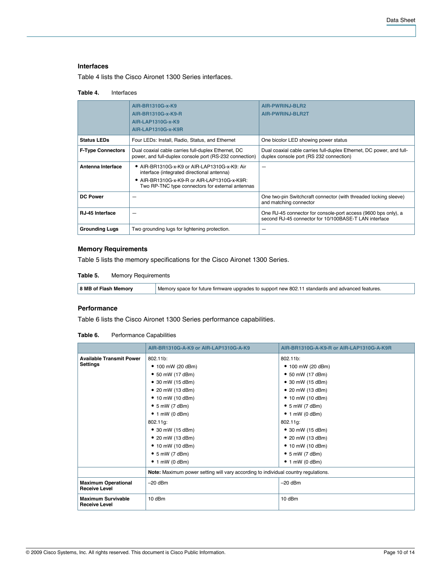#### **Interfaces**

Table 4 lists the Cisco Aironet 1300 Series interfaces.

#### **Table 4.** Interfaces

|                          | AIR-BR1310G-x-K9<br>AIR-BR1310G-x-K9-R<br>AIR-LAP1310G-x-K9<br>AIR-LAP1310G-x-K9R                                                                                                             | AIR-PWRINJ-BLR2<br><b>AIR-PWRINJ-BLR2T</b>                                                                              |
|--------------------------|-----------------------------------------------------------------------------------------------------------------------------------------------------------------------------------------------|-------------------------------------------------------------------------------------------------------------------------|
| <b>Status LEDs</b>       | Four LEDs: Install, Radio, Status, and Ethernet                                                                                                                                               | One bicolor LED showing power status                                                                                    |
| <b>F-Type Connectors</b> | Dual coaxial cable carries full-duplex Ethernet, DC<br>power, and full-duplex console port (RS-232 connection)                                                                                | Dual coaxial cable carries full-duplex Ethernet, DC power, and full-<br>duplex console port (RS 232 connection)         |
| Antenna Interface        | ● AIR-BR1310G-x-K9 or AIR-LAP1310G-x-K9: Air<br>interface (integrated directional antenna)<br>• AIR-BR1310G-x-K9-R or AIR-LAP1310G-x-K9R:<br>Two RP-TNC type connectors for external antennas |                                                                                                                         |
| <b>DC Power</b>          |                                                                                                                                                                                               | One two-pin Switchcraft connector (with threaded locking sleeve)<br>and matching connector                              |
| <b>RJ-45 Interface</b>   | -                                                                                                                                                                                             | One RJ-45 connector for console-port access (9600 bps only), a<br>second RJ-45 connector for 10/100BASE-T LAN interface |
| <b>Grounding Lugs</b>    | Two grounding lugs for lightening protection.                                                                                                                                                 |                                                                                                                         |

## **Memory Requirements**

Table 5 lists the memory specifications for the Cisco Aironet 1300 Series.

**Table 5.** Memory Requirements

| 8 MB of Flash Memory | Memory space for future firmware upgrades to support new 802.11 standards and advanced features. |
|----------------------|--------------------------------------------------------------------------------------------------|
|----------------------|--------------------------------------------------------------------------------------------------|

## **Performance**

Table 6 lists the Cisco Aironet 1300 Series performance capabilities.

|  | Table 6. | Performance Capabilities |  |
|--|----------|--------------------------|--|
|--|----------|--------------------------|--|

|                                                    | AIR-BR1310G-A-K9 or AIR-LAP1310G-A-K9                                              | AIR-BR1310G-A-K9-R or AIR-LAP1310G-A-K9R |
|----------------------------------------------------|------------------------------------------------------------------------------------|------------------------------------------|
| <b>Available Transmit Power</b>                    | 802.11b:                                                                           | 802.11b:                                 |
| <b>Settings</b>                                    | $\bullet$ 100 mW (20 dBm)                                                          | $\bullet$ 100 mW (20 dBm)                |
|                                                    | • 50 mW (17 dBm)                                                                   | • 50 mW (17 dBm)                         |
|                                                    | $\bullet$ 30 mW (15 dBm)                                                           | • 30 mW (15 dBm)                         |
|                                                    | • 20 mW (13 dBm)                                                                   | • 20 mW $(13$ dBm)                       |
|                                                    | $\bullet$ 10 mW (10 dBm)                                                           | • 10 mW (10 dBm)                         |
|                                                    | $\bullet$ 5 mW (7 dBm)                                                             | $\bullet$ 5 mW (7 dBm)                   |
|                                                    | $\bullet$ 1 mW (0 dBm)                                                             | $\bullet$ 1 mW (0 dBm)                   |
|                                                    | 802.11g:                                                                           | 802.11g:                                 |
|                                                    | • 30 mW $(15 dBm)$                                                                 | • 30 mW $(15 dBm)$                       |
|                                                    | • 20 mW $(13$ dBm)                                                                 | • 20 mW $(13$ dBm)                       |
|                                                    | • 10 mW (10 dBm)                                                                   | • 10 mW (10 dBm)                         |
|                                                    | $\bullet$ 5 mW (7 dBm)                                                             | $\bullet$ 5 mW (7 dBm)                   |
|                                                    | $\bullet$ 1 mW (0 dBm)                                                             | $\bullet$ 1 mW (0 dBm)                   |
|                                                    | Note: Maximum power setting will vary according to individual country regulations. |                                          |
| <b>Maximum Operational</b><br><b>Receive Level</b> | $-20$ dBm                                                                          | $-20$ dBm                                |
| <b>Maximum Survivable</b><br><b>Receive Level</b>  | 10 dBm                                                                             | 10 dBm                                   |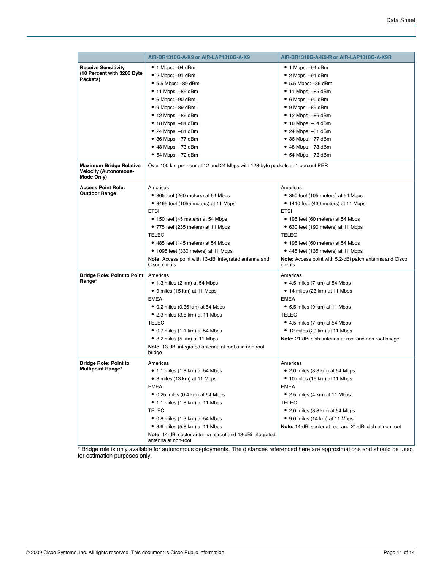|                                            | AIR-BR1310G-A-K9 or AIR-LAP1310G-A-K9                                         | AIR-BR1310G-A-K9-R or AIR-LAP1310G-A-K9R                |
|--------------------------------------------|-------------------------------------------------------------------------------|---------------------------------------------------------|
| <b>Receive Sensitivity</b>                 | $\bullet$ 1 Mbps: -94 dBm                                                     | $\bullet$ 1 Mbps: -94 dBm                               |
| (10 Percent with 3200 Byte                 | $\bullet$ 2 Mbps: $-91$ dBm                                                   | $\bullet$ 2 Mbps: -91 dBm                               |
| Packets)                                   | $\bullet$ 5.5 Mbps: -89 dBm                                                   | $\bullet$ 5.5 Mbps: -89 dBm                             |
|                                            | $\bullet$ 11 Mbps: $-85$ dBm                                                  | $\bullet$ 11 Mbps: -85 dBm                              |
|                                            | $\bullet$ 6 Mbps: $-90$ dBm                                                   | $\bullet$ 6 Mbps: $-90$ dBm                             |
|                                            | $\bullet$ 9 Mbps: $-89$ dBm                                                   | $\bullet$ 9 Mbps: $-89$ dBm                             |
|                                            | $\bullet$ 12 Mbps: $-86$ dBm                                                  | $\bullet$ 12 Mbps: $-86$ dBm                            |
|                                            | $\bullet$ 18 Mbps: $-84$ dBm                                                  | $\bullet$ 18 Mbps: $-84$ dBm                            |
|                                            | $\bullet$ 24 Mbps: $-81$ dBm                                                  | $\bullet$ 24 Mbps: -81 dBm                              |
|                                            | $\bullet$ 36 Mbps: $-77$ dBm                                                  | • 36 Mbps: -77 dBm                                      |
|                                            | $\bullet$ 48 Mbps: $-73$ dBm                                                  | $\bullet$ 48 Mbps: $-73$ dBm                            |
|                                            | $\bullet$ 54 Mbps: $-72$ dBm                                                  | $\bullet$ 54 Mbps: $-72$ dBm                            |
| <b>Maximum Bridge Relative</b>             | Over 100 km per hour at 12 and 24 Mbps with 128-byte packets at 1 percent PER |                                                         |
| <b>Velocity (Autonomous-</b><br>Mode Only) |                                                                               |                                                         |
| <b>Access Point Role:</b>                  | Americas                                                                      | Americas                                                |
| <b>Outdoor Range</b>                       | • 865 feet (260 meters) at 54 Mbps                                            | • 350 feet (105 meters) at 54 Mbps                      |
|                                            | • 3465 feet (1055 meters) at 11 Mbps                                          | • 1410 feet (430 meters) at 11 Mbps                     |
|                                            | <b>ETSI</b>                                                                   | <b>ETSI</b>                                             |
|                                            | • 150 feet (45 meters) at 54 Mbps                                             | • 195 feet (60 meters) at 54 Mbps                       |
|                                            | • 775 feet (235 meters) at 11 Mbps                                            | • 630 feet (190 meters) at 11 Mbps                      |
|                                            | TELEC                                                                         | <b>TELEC</b>                                            |
|                                            | • 485 feet (145 meters) at 54 Mbps                                            | • 195 feet (60 meters) at 54 Mbps                       |
|                                            | • 1095 feet (330 meters) at 11 Mbps                                           | • 445 feet (135 meters) at 11 Mbps                      |
|                                            | Note: Access point with 13-dBi integrated antenna and                         | Note: Access point with 5.2-dBi patch antenna and Cisco |
|                                            | Cisco clients                                                                 | clients                                                 |
| <b>Bridge Role: Point to Point</b>         | Americas                                                                      | Americas                                                |
| Range*                                     | • 1.3 miles (2 km) at 54 Mbps                                                 | $\bullet$ 4.5 miles (7 km) at 54 Mbps                   |
|                                            | • 9 miles (15 km) at 11 Mbps                                                  | $\bullet$ 14 miles (23 km) at 11 Mbps                   |
|                                            | EMEA                                                                          | <b>EMEA</b>                                             |
|                                            | $\bullet$ 0.2 miles (0.36 km) at 54 Mbps                                      | $\bullet$ 5.5 miles (9 km) at 11 Mbps                   |
|                                            | $\bullet$ 2.3 miles (3.5 km) at 11 Mbps                                       | <b>TELEC</b>                                            |
|                                            | TELEC                                                                         | $\bullet$ 4.5 miles (7 km) at 54 Mbps                   |
|                                            | $\bullet$ 0.7 miles (1.1 km) at 54 Mbps                                       | • 12 miles (20 km) at 11 Mbps                           |
|                                            | • 3.2 miles (5 km) at 11 Mbps                                                 | Note: 21-dBi dish antenna at root and non root bridge   |
|                                            | Note: 13-dBi integrated antenna at root and non root<br>bridge                |                                                         |
| <b>Bridge Role: Point to</b>               | Americas                                                                      | Americas                                                |
| <b>Multipoint Range*</b>                   | $\bullet$ 1.1 miles (1.8 km) at 54 Mbps                                       | $\bullet$ 2.0 miles (3.3 km) at 54 Mbps                 |
|                                            | • 8 miles (13 km) at 11 Mbps                                                  | • 10 miles (16 km) at 11 Mbps                           |
|                                            | EMEA                                                                          | <b>EMEA</b>                                             |
|                                            | $\bullet$ 0.25 miles (0.4 km) at 54 Mbps                                      | • 2.5 miles (4 km) at 11 Mbps                           |
|                                            | • 1.1 miles (1.8 km) at 11 Mbps                                               | <b>TELEC</b>                                            |
|                                            | TELEC                                                                         | $\bullet$ 2.0 miles (3.3 km) at 54 Mbps                 |
|                                            | $\bullet$ 0.8 miles (1.3 km) at 54 Mbps                                       | • 9.0 miles (14 km) at 11 Mbps                          |
|                                            | $\bullet$ 3.6 miles (5.8 km) at 11 Mbps                                       | Note: 14-dBi sector at root and 21-dBi dish at non root |
|                                            | Note: 14-dBi sector antenna at root and 13-dBi integrated                     |                                                         |
|                                            | antenna at non-root                                                           |                                                         |

\* Bridge role is only available for autonomous deployments. The distances referenced here are approximations and should be used for estimation purposes only.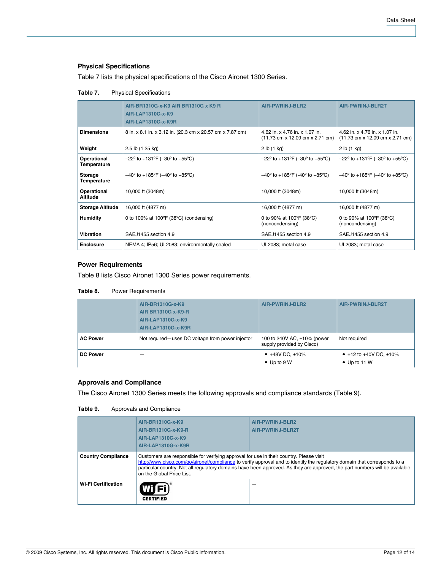## **Physical Specifications**

Table 7 lists the physical specifications of the Cisco Aironet 1300 Series.

|                                | AIR-BR1310G-x-K9 AIR BR1310G x K9 R<br>AIR-LAP1310G-x-K9<br>AIR-LAP1310G-x-K9R | <b>AIR-PWRINJ-BLR2</b>                                                                                | <b>AIR-PWRINJ-BLR2T</b>                                                                               |
|--------------------------------|--------------------------------------------------------------------------------|-------------------------------------------------------------------------------------------------------|-------------------------------------------------------------------------------------------------------|
| <b>Dimensions</b>              | 8 in. x 8.1 in. x 3.12 in. (20.3 cm x 20.57 cm x 7.87 cm)                      | 4.62 in. x 4.76 in. x 1.07 in.<br>$(11.73 \text{ cm} \times 12.09 \text{ cm} \times 2.71 \text{ cm})$ | 4.62 in. x 4.76 in. x 1.07 in.<br>$(11.73 \text{ cm} \times 12.09 \text{ cm} \times 2.71 \text{ cm})$ |
| Weight                         | 2.5 lb (1.25 kg)                                                               | 2 lb(1 kg)                                                                                            | 2 lb(1 kg)                                                                                            |
| Operational<br>Temperature     | $-22^{\circ}$ to +131°F (-30° to +55°C)                                        | $-22^{\circ}$ to +131°F (-30° to +55°C)                                                               | $-22^{\circ}$ to +131°F (-30° to +55°C)                                                               |
| <b>Storage</b><br>Temperature  | $-40^{\circ}$ to +185°F (-40° to +85°C)                                        | $-40^{\circ}$ to +185°F (-40° to +85°C)                                                               | $-40^{\circ}$ to +185°F (-40° to +85°C)                                                               |
| Operational<br><b>Altitude</b> | 10,000 ft (3048m)                                                              | 10,000 ft (3048m)                                                                                     | 10,000 ft (3048m)                                                                                     |
| <b>Storage Altitude</b>        | 16,000 ft (4877 m)                                                             | 16,000 ft (4877 m)                                                                                    | 16,000 ft (4877 m)                                                                                    |
| <b>Humidity</b>                | 0 to 100% at 100 $\degree$ F (38 $\degree$ C) (condensing)                     | 0 to 90% at 100 $\degree$ F (38 $\degree$ C)<br>(noncondensing)                                       | 0 to 90% at 100°F (38°C)<br>(noncondensing)                                                           |
| <b>Vibration</b>               | SAEJ1455 section 4.9                                                           | SAEJ1455 section 4.9                                                                                  | SAEJ1455 section 4.9                                                                                  |
| <b>Enclosure</b>               | NEMA 4; IP56; UL2083; environmentally sealed                                   | UL2083; metal case                                                                                    | UL2083; metal case                                                                                    |

## **Table 7.** Physical Specifications

## **Power Requirements**

Table 8 lists Cisco Aironet 1300 Series power requirements.

#### **Table 8.** Power Requirements

|                 | AIR-BR1310G-x-K9<br><b>AIR BR1310G x-K9-R</b><br>AIR-LAP1310G-x-K9<br>AIR-LAP1310G-x-K9R | <b>AIR-PWRINJ-BLR2</b>                                   | AIR-PWRINJ-BLR2T                                    |
|-----------------|------------------------------------------------------------------------------------------|----------------------------------------------------------|-----------------------------------------------------|
| <b>AC Power</b> | Not required—uses DC voltage from power injector                                         | 100 to 240V AC, ±10% (power<br>supply provided by Cisco) | Not required                                        |
| <b>DC Power</b> | -                                                                                        | • $+48V$ DC, $\pm 10\%$<br>$\bullet$ Up to 9 W           | • +12 to +40V DC, $\pm$ 10%<br>$\bullet$ Up to 11 W |

## **Approvals and Compliance**

The Cisco Aironet 1300 Series meets the following approvals and compliance standards (Table 9).

| Table 9. | Approvals and Compliance |
|----------|--------------------------|
|          |                          |

|                            | AIR-BR1310G-x-K9<br>AIR-BR1310G-x-K9-R<br>AIR-LAP1310G-x-K9<br>AIR-LAP1310G-x-K9R                                                                                                                                                                                                                                                                                                | AIR-PWRINJ-BLR2<br>AIR-PWRINJ-BLR2T |  |
|----------------------------|----------------------------------------------------------------------------------------------------------------------------------------------------------------------------------------------------------------------------------------------------------------------------------------------------------------------------------------------------------------------------------|-------------------------------------|--|
| <b>Country Compliance</b>  | Customers are responsible for verifying approval for use in their country. Please visit<br>http://www.cisco.com/go/aironet/compliance to verify approval and to identify the regulatory domain that corresponds to a<br>particular country. Not all regulatory domains have been approved. As they are approved, the part numbers will be available<br>on the Global Price List. |                                     |  |
| <b>Wi-Fi Certification</b> | Wici)<br><b>CERTIFIED</b>                                                                                                                                                                                                                                                                                                                                                        |                                     |  |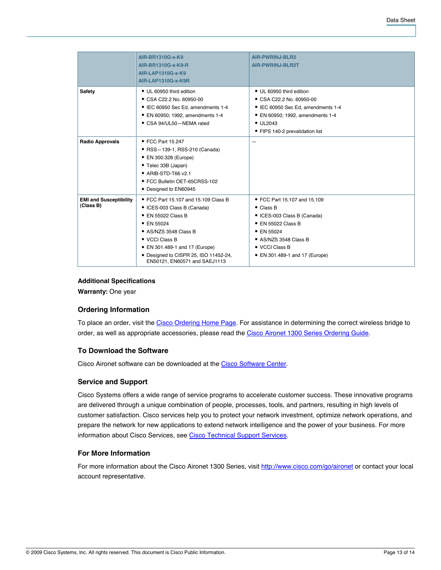|                                            | AIR-BR1310G-x-K9                                                       | <b>AIR-PWRINJ-BLR2</b>             |
|--------------------------------------------|------------------------------------------------------------------------|------------------------------------|
|                                            | AIR-BR1310G-x-K9-R                                                     | <b>AIR-PWRINJ-BLR2T</b>            |
|                                            | AIR-LAP1310G-x-K9                                                      |                                    |
|                                            | <b>AIR-LAP1310G-x-K9R</b>                                              |                                    |
| <b>Safety</b>                              | • UL 60950 third edition                                               | • UL 60950 third edition           |
|                                            | • CSA C22.2 No. 60950-00                                               | • CSA C22.2 No. 60950-00           |
|                                            | • IEC 60950 Sec Ed, amendments 1-4                                     | • IEC 60950 Sec Ed, amendments 1-4 |
|                                            | • EN 60950; 1992, amendments 1-4                                       | • EN 60950; 1992, amendments 1-4   |
|                                            | • CSA 94/UL50-NEMA rated                                               | $\bullet$ UL2043                   |
|                                            |                                                                        | • FIPS 140-2 prevalidation list    |
| <b>Radio Approvals</b>                     | • FCC Part 15.247                                                      |                                    |
|                                            | • RSS-139-1, RSS-210 (Canada)                                          |                                    |
|                                            | • EN 300.328 (Europe)                                                  |                                    |
|                                            | • Telec 33B (Japan)                                                    |                                    |
|                                            | • ARIB-STD-T66 v2.1                                                    |                                    |
|                                            | • FCC Bulletin OET-65CRSS-102                                          |                                    |
|                                            | • Designed to EN60945                                                  |                                    |
| <b>EMI and Susceptibility</b><br>(Class B) | • FCC Part 15.107 and 15.109 Class B                                   | • FCC Part 15.107 and 15.109       |
|                                            | • ICES-003 Class B (Canada)                                            | $\bullet$ Class B                  |
|                                            | $\bullet$ EN 55022 Class B                                             | • ICES-003 Class B (Canada)        |
|                                            | • EN 55024                                                             | • EN 55022 Class B                 |
|                                            | • AS/NZS 3548 Class B                                                  | $\bullet$ EN 55024                 |
|                                            | $\bullet$ VCCI Class B                                                 | • AS/NZS 3548 Class B              |
|                                            | • EN 301.489-1 and 17 (Europe)                                         | • VCCI Class B                     |
|                                            | • Designed to CISPR 25, ISO 11452-24,<br>EN50121, EN60571 and SAEJ1113 | • EN 301.489-1 and 17 (Europe)     |

## **Additional Specifications**

**Warranty:** One year

## **Ordering Information**

To place an order, visit the [Cisco Ordering Home Page.](http://www.cisco.com/en/US/ordering/index.shtml) For assistance in determining the correct wireless bridge to order, as well as appropriate accessories, please read the [Cisco Aironet 1300 Series Ordering Guide.](http://www.cisco.com/en/US/prod/collateral/wireless/ps5679/ps5861/product_data_sheet09186a008022198b.html)

## **To Download the Software**

Cisco Aironet software can be downloaded at the [Cisco Software Center](http://tools.cisco.com/support/downloads/pub/MDFTree.x?butype=wireless).

## **Service and Support**

Cisco Systems offers a wide range of service programs to accelerate customer success. These innovative programs are delivered through a unique combination of people, processes, tools, and partners, resulting in high levels of customer satisfaction. Cisco services help you to protect your network investment, optimize network operations, and prepare the network for new applications to extend network intelligence and the power of your business. For more information about Cisco Services, see [Cisco Technical Support Services](http://www.cisco.com/en/US/products/svcs/ps3034/serv_category_home.html).

## **For More Information**

For more information about the Cisco Aironet 1300 Series, visit <http://www.cisco.com/go/aironet> or contact your local account representative.